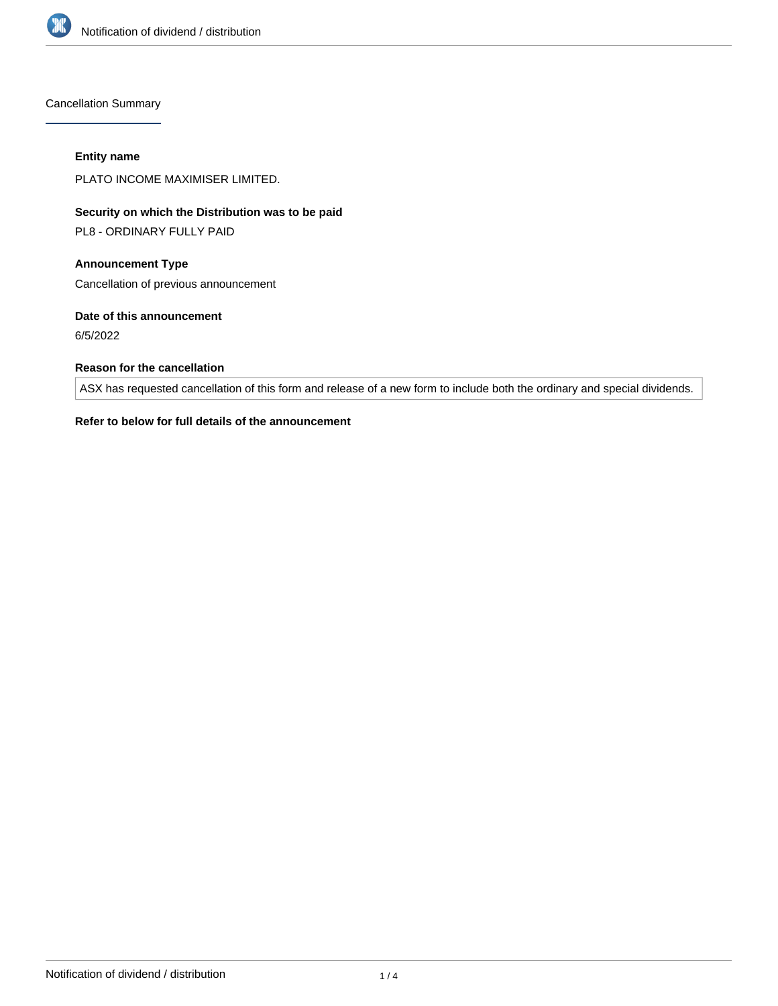

Cancellation Summary

#### **Entity name**

PLATO INCOME MAXIMISER LIMITED.

**Security on which the Distribution was to be paid**

PL8 - ORDINARY FULLY PAID

**Announcement Type** Cancellation of previous announcement

**Date of this announcement**

6/5/2022

# **Reason for the cancellation**

ASX has requested cancellation of this form and release of a new form to include both the ordinary and special dividends.

# **Refer to below for full details of the announcement**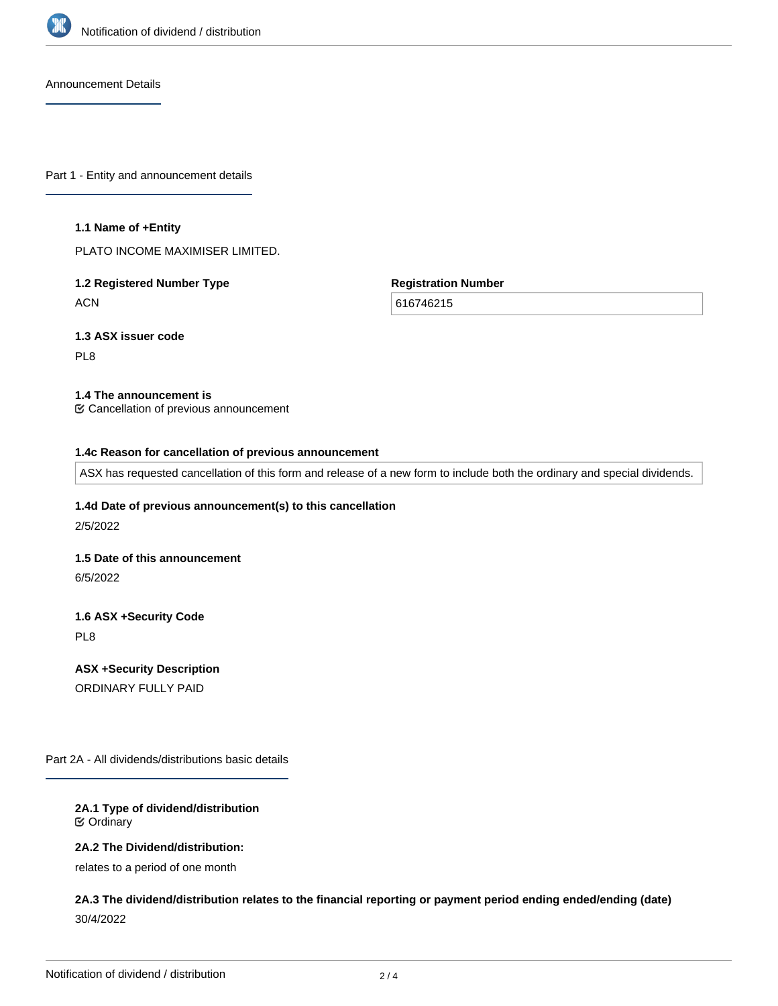

Announcement Details

Part 1 - Entity and announcement details

#### **1.1 Name of +Entity**

PLATO INCOME MAXIMISER LIMITED.

# **1.2 Registered Number Type ACN**

**Registration Number**

616746215

**1.3 ASX issuer code**

PL8

# **1.4 The announcement is**

Cancellation of previous announcement

#### **1.4c Reason for cancellation of previous announcement**

ASX has requested cancellation of this form and release of a new form to include both the ordinary and special dividends.

#### **1.4d Date of previous announcement(s) to this cancellation**

2/5/2022

#### **1.5 Date of this announcement**

6/5/2022

# **1.6 ASX +Security Code**

PL8

**ASX +Security Description** ORDINARY FULLY PAID

Part 2A - All dividends/distributions basic details

# **2A.1 Type of dividend/distribution** Ordinary

#### **2A.2 The Dividend/distribution:**

relates to a period of one month

**2A.3 The dividend/distribution relates to the financial reporting or payment period ending ended/ending (date)** 30/4/2022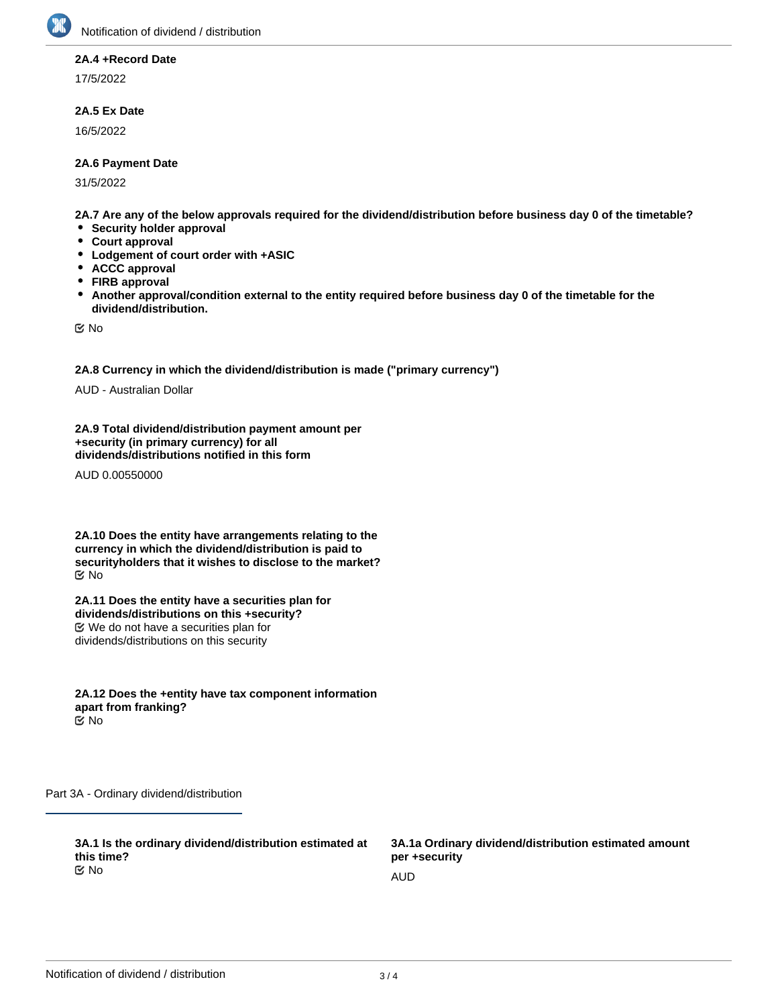

#### **2A.4 +Record Date**

17/5/2022

# **2A.5 Ex Date**

16/5/2022

# **2A.6 Payment Date**

31/5/2022

**2A.7 Are any of the below approvals required for the dividend/distribution before business day 0 of the timetable?**

- **Security holder approval**
- **Court approval**
- **Lodgement of court order with +ASIC**
- **ACCC approval**  $\bullet$
- **FIRB approval**
- **Another approval/condition external to the entity required before business day 0 of the timetable for the**  $\bullet$ **dividend/distribution.**

No

**2A.8 Currency in which the dividend/distribution is made ("primary currency")**

AUD - Australian Dollar

**2A.9 Total dividend/distribution payment amount per +security (in primary currency) for all dividends/distributions notified in this form**

AUD 0.00550000

**2A.10 Does the entity have arrangements relating to the currency in which the dividend/distribution is paid to securityholders that it wishes to disclose to the market?** No

**2A.11 Does the entity have a securities plan for dividends/distributions on this +security?** We do not have a securities plan for dividends/distributions on this security

**2A.12 Does the +entity have tax component information apart from franking?** No

Part 3A - Ordinary dividend/distribution

**3A.1 Is the ordinary dividend/distribution estimated at this time?** No and the contract of the contract of the contract of the contract of the contract of the contract of the contract of the contract of the contract of the contract of the contract of the contract of the contract of the con

**3A.1a Ordinary dividend/distribution estimated amount per +security**